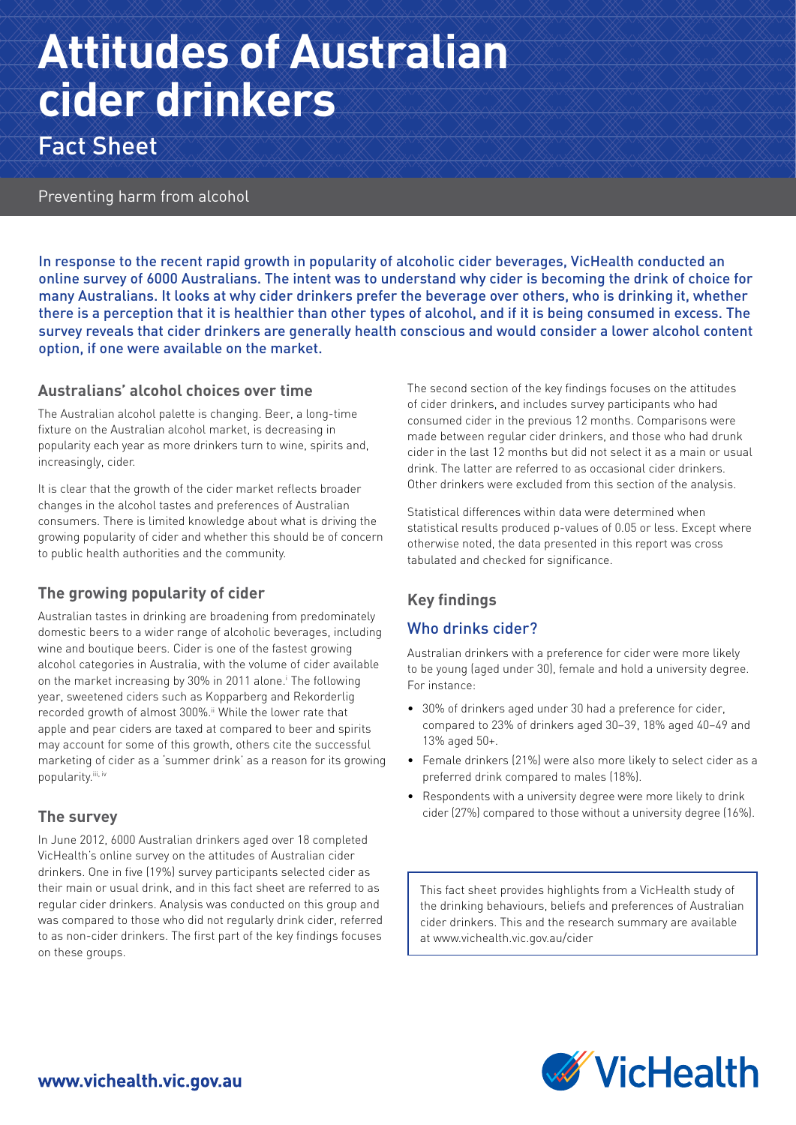# **Attitudes of Australian cider drinkers**

Fact Sheet

### Preventing harm from alcohol

In response to the recent rapid growth in popularity of alcoholic cider beverages, VicHealth conducted an online survey of 6000 Australians. The intent was to understand why cider is becoming the drink of choice for many Australians. It looks at why cider drinkers prefer the beverage over others, who is drinking it, whether there is a perception that it is healthier than other types of alcohol, and if it is being consumed in excess. The survey reveals that cider drinkers are generally health conscious and would consider a lower alcohol content option, if one were available on the market.

#### **Australians' alcohol choices over time**

The Australian alcohol palette is changing. Beer, a long-time fixture on the Australian alcohol market, is decreasing in popularity each year as more drinkers turn to wine, spirits and, increasingly, cider.

It is clear that the growth of the cider market reflects broader changes in the alcohol tastes and preferences of Australian consumers. There is limited knowledge about what is driving the growing popularity of cider and whether this should be of concern to public health authorities and the community.

# **The growing popularity of cider**

Australian tastes in drinking are broadening from predominately domestic beers to a wider range of alcoholic beverages, including wine and boutique beers. Cider is one of the fastest growing alcohol categories in Australia, with the volume of cider available on the market increasing by 30% in 2011 alone.<sup>i</sup> The following year, sweetened ciders such as Kopparberg and Rekorderlig recorded growth of almost 300%.<sup>ii</sup> While the lower rate that apple and pear ciders are taxed at compared to beer and spirits may account for some of this growth, others cite the successful marketing of cider as a 'summer drink' as a reason for its growing popularity.iii, iv

#### **The survey**

In June 2012, 6000 Australian drinkers aged over 18 completed VicHealth's online survey on the attitudes of Australian cider drinkers. One in five (19%) survey participants selected cider as their main or usual drink, and in this fact sheet are referred to as regular cider drinkers. Analysis was conducted on this group and was compared to those who did not regularly drink cider, referred to as non-cider drinkers. The first part of the key findings focuses on these groups.

The second section of the key findings focuses on the attitudes of cider drinkers, and includes survey participants who had consumed cider in the previous 12 months. Comparisons were made between regular cider drinkers, and those who had drunk cider in the last 12 months but did not select it as a main or usual drink. The latter are referred to as occasional cider drinkers. Other drinkers were excluded from this section of the analysis.

Statistical differences within data were determined when statistical results produced p-values of 0.05 or less. Except where otherwise noted, the data presented in this report was cross tabulated and checked for significance.

# **Key findings**

# Who drinks cider?

Australian drinkers with a preference for cider were more likely to be young (aged under 30), female and hold a university degree. For instance:

- 30% of drinkers aged under 30 had a preference for cider, compared to 23% of drinkers aged 30–39, 18% aged 40–49 and 13% aged 50+.
- Female drinkers (21%) were also more likely to select cider as a preferred drink compared to males (18%).
- Respondents with a university degree were more likely to drink cider (27%) compared to those without a university degree (16%).

This fact sheet provides highlights from a VicHealth study of the drinking behaviours, beliefs and preferences of Australian cider drinkers. This and the research summary are available at www.vichealth.vic.gov.au/cider

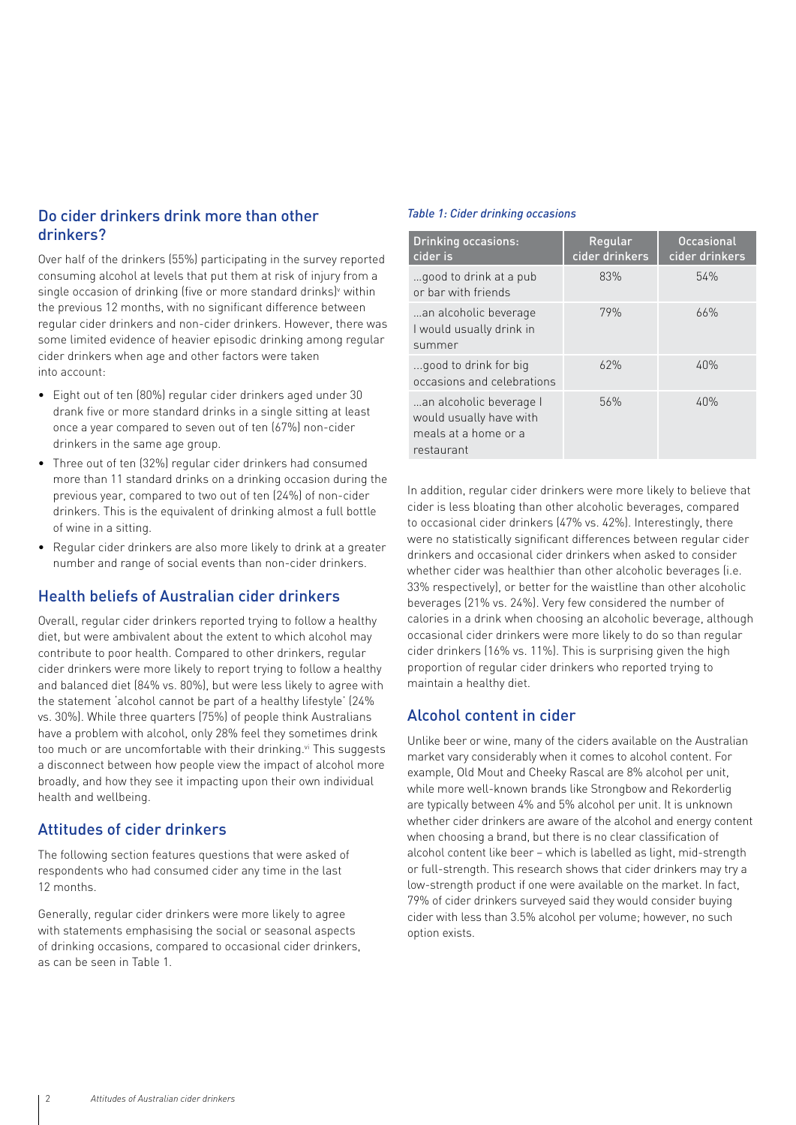#### Do cider drinkers drink more than other drinkers?

Over half of the drinkers (55%) participating in the survey reported consuming alcohol at levels that put them at risk of injury from a single occasion of drinking (five or more standard drinks)<sup>v</sup> within the previous 12 months, with no significant difference between regular cider drinkers and non-cider drinkers. However, there was some limited evidence of heavier episodic drinking among regular cider drinkers when age and other factors were taken into account:

- Eight out of ten (80%) regular cider drinkers aged under 30 drank five or more standard drinks in a single sitting at least once a year compared to seven out of ten (67%) non-cider drinkers in the same age group.
- Three out of ten (32%) regular cider drinkers had consumed more than 11 standard drinks on a drinking occasion during the previous year, compared to two out of ten (24%) of non-cider drinkers. This is the equivalent of drinking almost a full bottle of wine in a sitting.
- Regular cider drinkers are also more likely to drink at a greater number and range of social events than non-cider drinkers.

#### Health beliefs of Australian cider drinkers

Overall, regular cider drinkers reported trying to follow a healthy diet, but were ambivalent about the extent to which alcohol may contribute to poor health. Compared to other drinkers, regular cider drinkers were more likely to report trying to follow a healthy and balanced diet (84% vs. 80%), but were less likely to agree with the statement 'alcohol cannot be part of a healthy lifestyle' (24% vs. 30%). While three quarters (75%) of people think Australians have a problem with alcohol, only 28% feel they sometimes drink too much or are uncomfortable with their drinking.<sup>vi</sup> This suggests a disconnect between how people view the impact of alcohol more broadly, and how they see it impacting upon their own individual health and wellbeing.

#### Attitudes of cider drinkers

The following section features questions that were asked of respondents who had consumed cider any time in the last 12 months.

Generally, regular cider drinkers were more likely to agree with statements emphasising the social or seasonal aspects of drinking occasions, compared to occasional cider drinkers, as can be seen in Table 1.

#### *Table 1: Cider drinking occasions*

| <b>Drinking occasions:</b><br>cider is                                                   | Regular<br>cider drinkers | <b>Occasional</b><br>cider drinkers |
|------------------------------------------------------------------------------------------|---------------------------|-------------------------------------|
| good to drink at a pub<br>or bar with friends                                            | 83%                       | 54%                                 |
| an alcoholic beverage<br>I would usually drink in<br>summer                              | 79%                       | 66%                                 |
| good to drink for big<br>occasions and celebrations                                      | 62%                       | 40%                                 |
| an alcoholic beverage I<br>would usually have with<br>meals at a home or a<br>restaurant | 56%                       | 40%                                 |

In addition, regular cider drinkers were more likely to believe that cider is less bloating than other alcoholic beverages, compared to occasional cider drinkers (47% vs. 42%). Interestingly, there were no statistically significant differences between regular cider drinkers and occasional cider drinkers when asked to consider whether cider was healthier than other alcoholic beverages (i.e. 33% respectively), or better for the waistline than other alcoholic beverages (21% vs. 24%). Very few considered the number of calories in a drink when choosing an alcoholic beverage, although occasional cider drinkers were more likely to do so than regular cider drinkers (16% vs. 11%). This is surprising given the high proportion of regular cider drinkers who reported trying to maintain a healthy diet.

#### Alcohol content in cider

Unlike beer or wine, many of the ciders available on the Australian market vary considerably when it comes to alcohol content. For example, Old Mout and Cheeky Rascal are 8% alcohol per unit, while more well-known brands like Strongbow and Rekorderlig are typically between 4% and 5% alcohol per unit. It is unknown whether cider drinkers are aware of the alcohol and energy content when choosing a brand, but there is no clear classification of alcohol content like beer – which is labelled as light, mid-strength or full-strength. This research shows that cider drinkers may try a low-strength product if one were available on the market. In fact, 79% of cider drinkers surveyed said they would consider buying cider with less than 3.5% alcohol per volume; however, no such option exists.